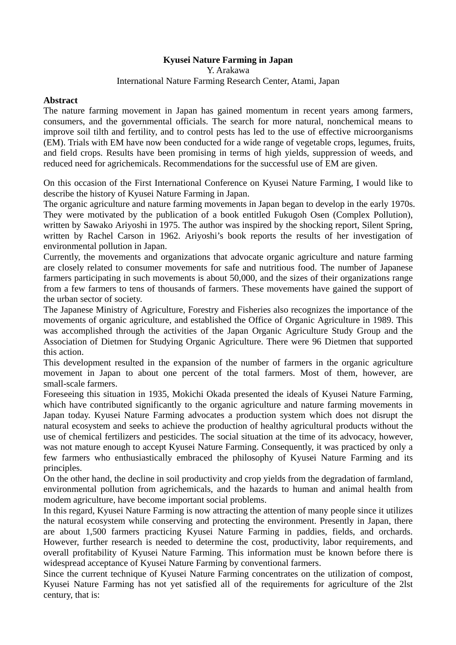## **Kyusei Nature Farming in Japan**

## Y. Arakawa International Nature Farming Research Center, Atami, Japan

## **Abstract**

The nature farming movement in Japan has gained momentum in recent years among farmers, consumers, and the governmental officials. The search for more natural, nonchemical means to improve soil tilth and fertility, and to control pests has led to the use of effective microorganisms (EM). Trials with EM have now been conducted for a wide range of vegetable crops, legumes, fruits, and field crops. Results have been promising in terms of high yields, suppression of weeds, and reduced need for agrichemicals. Recommendations for the successful use of EM are given.

On this occasion of the First International Conference on Kyusei Nature Farming, I would like to describe the history of Kyusei Nature Farming in Japan.

The organic agriculture and nature farming movements in Japan began to develop in the early 1970s. They were motivated by the publication of a book entitled Fukugoh Osen (Complex Pollution), written by Sawako Ariyoshi in 1975. The author was inspired by the shocking report, Silent Spring, written by Rachel Carson in 1962. Ariyoshi's book reports the results of her investigation of environmental pollution in Japan.

Currently, the movements and organizations that advocate organic agriculture and nature farming are closely related to consumer movements for safe and nutritious food. The number of Japanese farmers participating in such movements is about 50,000, and the sizes of their organizations range from a few farmers to tens of thousands of farmers. These movements have gained the support of the urban sector of society.

The Japanese Ministry of Agriculture, Forestry and Fisheries also recognizes the importance of the movements of organic agriculture, and established the Office of Organic Agriculture in 1989. This was accomplished through the activities of the Japan Organic Agriculture Study Group and the Association of Dietmen for Studying Organic Agriculture. There were 96 Dietmen that supported this action.

This development resulted in the expansion of the number of farmers in the organic agriculture movement in Japan to about one percent of the total farmers. Most of them, however, are small-scale farmers.

Foreseeing this situation in 1935, Mokichi Okada presented the ideals of Kyusei Nature Farming, which have contributed significantly to the organic agriculture and nature farming movements in Japan today. Kyusei Nature Farming advocates a production system which does not disrupt the natural ecosystem and seeks to achieve the production of healthy agricultural products without the use of chemical fertilizers and pesticides. The social situation at the time of its advocacy, however, was not mature enough to accept Kyusei Nature Farming. Consequently, it was practiced by only a few farmers who enthusiastically embraced the philosophy of Kyusei Nature Farming and its principles.

On the other hand, the decline in soil productivity and crop yields from the degradation of farmland, environmental pollution from agrichemicals, and the hazards to human and animal health from modem agriculture, have become important social problems.

In this regard, Kyusei Nature Farming is now attracting the attention of many people since it utilizes the natural ecosystem while conserving and protecting the environment. Presently in Japan, there are about 1,500 farmers practicing Kyusei Nature Farming in paddies, fields, and orchards. However, further research is needed to determine the cost, productivity, labor requirements, and overall profitability of Kyusei Nature Farming. This information must be known before there is widespread acceptance of Kyusei Nature Farming by conventional farmers.

Since the current technique of Kyusei Nature Farming concentrates on the utilization of compost, Kyusei Nature Farming has not yet satisfied all of the requirements for agriculture of the 2lst century, that is: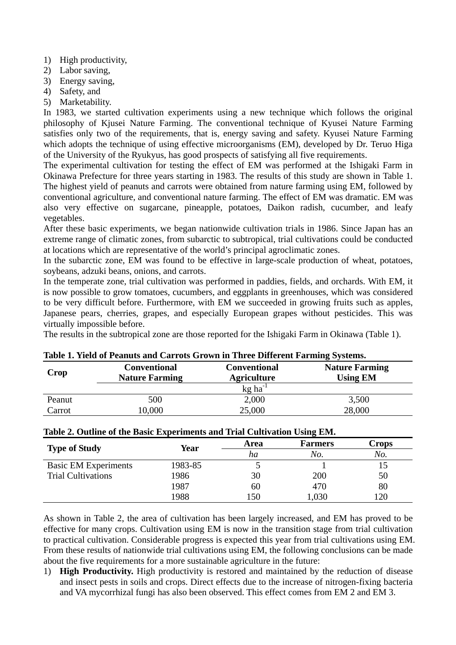- 1) High productivity,
- 2) Labor saving,
- 3) Energy saving,
- 4) Safety, and
- 5) Marketability.

In 1983, we started cultivation experiments using a new technique which follows the original philosophy of Kjusei Nature Farming. The conventional technique of Kyusei Nature Farming satisfies only two of the requirements, that is, energy saving and safety. Kyusei Nature Farming which adopts the technique of using effective microorganisms (EM), developed by Dr. Teruo Higa of the University of the Ryukyus, has good prospects of satisfying all five requirements.

The experimental cultivation for testing the effect of EM was performed at the Ishigaki Farm in Okinawa Prefecture for three years starting in 1983. The results of this study are shown in Table 1. The highest yield of peanuts and carrots were obtained from nature farming using EM, followed by conventional agriculture, and conventional nature farming. The effect of EM was dramatic. EM was also very effective on sugarcane, pineapple, potatoes, Daikon radish, cucumber, and leafy vegetables.

After these basic experiments, we began nationwide cultivation trials in 1986. Since Japan has an extreme range of climatic zones, from subarctic to subtropical, trial cultivations could be conducted at locations which are representative of the world's principal agroclimatic zones.

In the subarctic zone, EM was found to be effective in large-scale production of wheat, potatoes, soybeans, adzuki beans, onions, and carrots.

In the temperate zone, trial cultivation was performed in paddies, fields, and orchards. With EM, it is now possible to grow tomatoes, cucumbers, and eggplants in greenhouses, which was considered to be very difficult before. Furthermore, with EM we succeeded in growing fruits such as apples, Japanese pears, cherries, grapes, and especially European grapes without pesticides. This was virtually impossible before.

The results in the subtropical zone are those reported for the Ishigaki Farm in Okinawa (Table 1).

| Table 1. Yield of Peanuts and Carrots Grown in Three Different Farming Systems. |                                              |                                           |                                          |  |  |  |
|---------------------------------------------------------------------------------|----------------------------------------------|-------------------------------------------|------------------------------------------|--|--|--|
| Crop                                                                            | <b>Conventional</b><br><b>Nature Farming</b> | <b>Conventional</b><br><b>Agriculture</b> | <b>Nature Farming</b><br><b>Using EM</b> |  |  |  |
|                                                                                 |                                              | $kg$ ha <sup>-1</sup>                     |                                          |  |  |  |
| Peanut                                                                          | 500                                          | 2,000                                     | 3,500                                    |  |  |  |
| Carrot                                                                          | 0,000                                        | 25,000                                    | 28,000                                   |  |  |  |

## **Table 2. Outline of the Basic Experiments and Trial Cultivation Using EM.**

| <b>Type of Study</b>        | Year    | Area | <b>Farmers</b> | Crops |
|-----------------------------|---------|------|----------------|-------|
|                             |         | ha   | No.            | No.   |
| <b>Basic EM Experiments</b> | 1983-85 |      |                |       |
| <b>Trial Cultivations</b>   | 1986    | 30   | 200            | 50    |
|                             | 1987    | 60   | 470            | 80    |
|                             | 1988    | 150  | ,030           | 120   |

As shown in Table 2, the area of cultivation has been largely increased, and EM has proved to be effective for many crops. Cultivation using EM is now in the transition stage from trial cultivation to practical cultivation. Considerable progress is expected this year from trial cultivations using EM. From these results of nationwide trial cultivations using EM, the following conclusions can be made about the five requirements for a more sustainable agriculture in the future:

1) **High Productivity.** High productivity is restored and maintained by the reduction of disease and insect pests in soils and crops. Direct effects due to the increase of nitrogen-fixing bacteria and VA mycorrhizal fungi has also been observed. This effect comes from EM 2 and EM 3.